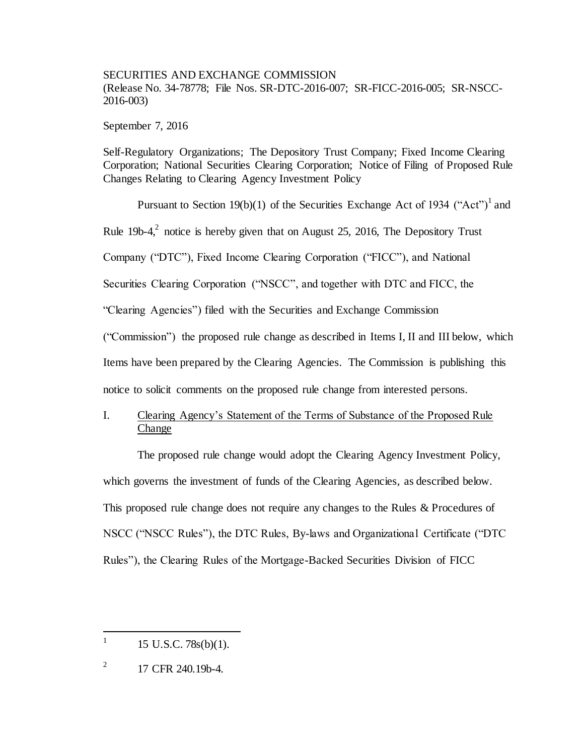SECURITIES AND EXCHANGE COMMISSION (Release No. 34-78778; File Nos. SR-DTC-2016-007; SR-FICC-2016-005; SR-NSCC-2016-003)

September 7, 2016

Self-Regulatory Organizations; The Depository Trust Company; Fixed Income Clearing Corporation; National Securities Clearing Corporation; Notice of Filing of Proposed Rule Changes Relating to Clearing Agency Investment Policy

Pursuant to Section 19(b)(1) of the Securities Exchange Act of 1934 ("Act")<sup>1</sup> and Rule 19b-4, $^2$  notice is hereby given that on August 25, 2016, The Depository Trust Company ("DTC"), Fixed Income Clearing Corporation ("FICC"), and National Securities Clearing Corporation ("NSCC", and together with DTC and FICC, the "Clearing Agencies") filed with the Securities and Exchange Commission ("Commission") the proposed rule change as described in Items I, II and III below, which Items have been prepared by the Clearing Agencies. The Commission is publishing this

notice to solicit comments on the proposed rule change from interested persons.

I. Clearing Agency's Statement of the Terms of Substance of the Proposed Rule Change

The proposed rule change would adopt the Clearing Agency Investment Policy, which governs the investment of funds of the Clearing Agencies, as described below. This proposed rule change does not require any changes to the Rules & Procedures of NSCC ("NSCC Rules"), the DTC Rules, By-laws and Organizational Certificate ("DTC Rules"), the Clearing Rules of the Mortgage-Backed Securities Division of FICC

 1 15 U.S.C. 78s(b)(1).

<sup>2</sup> 17 CFR 240.19b-4.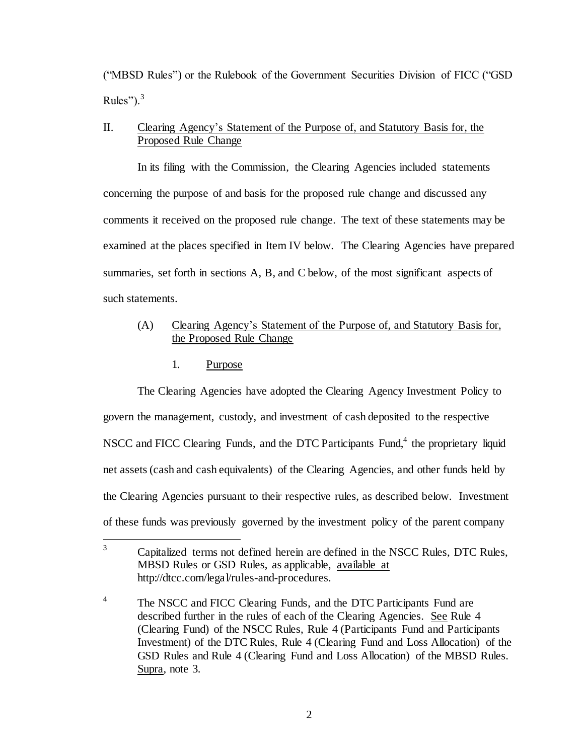("MBSD Rules") or the Rulebook of the Government Securities Division of FICC ("GSD Rules"). $3$ 

# II. Clearing Agency's Statement of the Purpose of, and Statutory Basis for, the Proposed Rule Change

In its filing with the Commission, the Clearing Agencies included statements concerning the purpose of and basis for the proposed rule change and discussed any comments it received on the proposed rule change. The text of these statements may be examined at the places specified in Item IV below. The Clearing Agencies have prepared summaries, set forth in sections A, B, and C below, of the most significant aspects of such statements.

# (A) Clearing Agency's Statement of the Purpose of, and Statutory Basis for, the Proposed Rule Change

## 1. Purpose

The Clearing Agencies have adopted the Clearing Agency Investment Policy to govern the management, custody, and investment of cash deposited to the respective NSCC and FICC Clearing Funds, and the DTC Participants Fund,<sup>4</sup> the proprietary liquid net assets (cash and cash equivalents) of the Clearing Agencies, and other funds held by the Clearing Agencies pursuant to their respective rules, as described below. Investment of these funds was previously governed by the investment policy of the parent company

 $\overline{3}$ <sup>3</sup> Capitalized terms not defined herein are defined in the NSCC Rules, DTC Rules, MBSD Rules or GSD Rules, as applicable, available at http://dtcc.com/legal/rules-and-procedures.

<sup>4</sup> The NSCC and FICC Clearing Funds, and the DTC Participants Fund are described further in the rules of each of the Clearing Agencies. See Rule 4 (Clearing Fund) of the NSCC Rules, Rule 4 (Participants Fund and Participants Investment) of the DTC Rules, Rule 4 (Clearing Fund and Loss Allocation) of the GSD Rules and Rule 4 (Clearing Fund and Loss Allocation) of the MBSD Rules. Supra, note 3.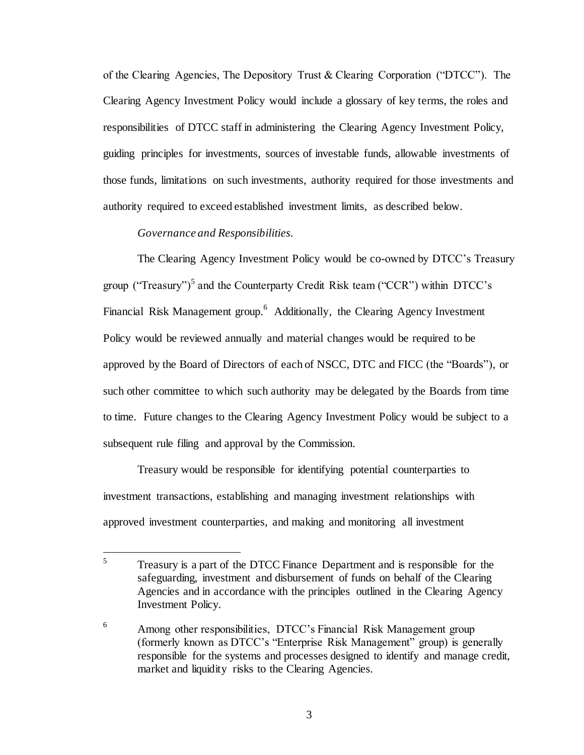of the Clearing Agencies, The Depository Trust & Clearing Corporation ("DTCC"). The Clearing Agency Investment Policy would include a glossary of key terms, the roles and responsibilities of DTCC staff in administering the Clearing Agency Investment Policy, guiding principles for investments, sources of investable funds, allowable investments of those funds, limitations on such investments, authority required for those investments and authority required to exceed established investment limits, as described below.

### *Governance and Responsibilities.*

The Clearing Agency Investment Policy would be co-owned by DTCC's Treasury group ("Treasury")<sup>5</sup> and the Counterparty Credit Risk team ("CCR") within DTCC's Financial Risk Management group.<sup>6</sup> Additionally, the Clearing Agency Investment Policy would be reviewed annually and material changes would be required to be approved by the Board of Directors of each of NSCC, DTC and FICC (the "Boards"), or such other committee to which such authority may be delegated by the Boards from time to time. Future changes to the Clearing Agency Investment Policy would be subject to a subsequent rule filing and approval by the Commission.

Treasury would be responsible for identifying potential counterparties to investment transactions, establishing and managing investment relationships with approved investment counterparties, and making and monitoring all investment

 5 Treasury is a part of the DTCC Finance Department and is responsible for the safeguarding, investment and disbursement of funds on behalf of the Clearing Agencies and in accordance with the principles outlined in the Clearing Agency Investment Policy.

<sup>&</sup>lt;sup>6</sup> Among other responsibilities, DTCC's Financial Risk Management group (formerly known as DTCC's "Enterprise Risk Management" group) is generally responsible for the systems and processes designed to identify and manage credit, market and liquidity risks to the Clearing Agencies.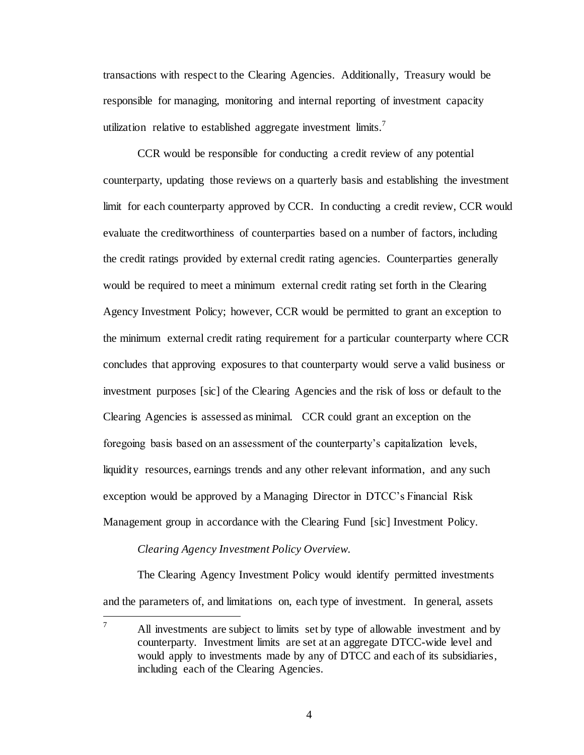transactions with respect to the Clearing Agencies. Additionally, Treasury would be responsible for managing, monitoring and internal reporting of investment capacity utilization relative to established aggregate investment  $limits$ .

CCR would be responsible for conducting a credit review of any potential counterparty, updating those reviews on a quarterly basis and establishing the investment limit for each counterparty approved by CCR. In conducting a credit review, CCR would evaluate the creditworthiness of counterparties based on a number of factors, including the credit ratings provided by external credit rating agencies. Counterparties generally would be required to meet a minimum external credit rating set forth in the Clearing Agency Investment Policy; however, CCR would be permitted to grant an exception to the minimum external credit rating requirement for a particular counterparty where CCR concludes that approving exposures to that counterparty would serve a valid business or investment purposes [sic] of the Clearing Agencies and the risk of loss or default to the Clearing Agencies is assessed as minimal. CCR could grant an exception on the foregoing basis based on an assessment of the counterparty's capitalization levels, liquidity resources, earnings trends and any other relevant information, and any such exception would be approved by a Managing Director in DTCC's Financial Risk Management group in accordance with the Clearing Fund [sic] Investment Policy.

#### *Clearing Agency Investment Policy Overview.*

The Clearing Agency Investment Policy would identify permitted investments and the parameters of, and limitations on, each type of investment. In general, assets

4

 $\overline{7}$ All investments are subject to limits set by type of allowable investment and by counterparty. Investment limits are set at an aggregate DTCC-wide level and would apply to investments made by any of DTCC and each of its subsidiaries, including each of the Clearing Agencies.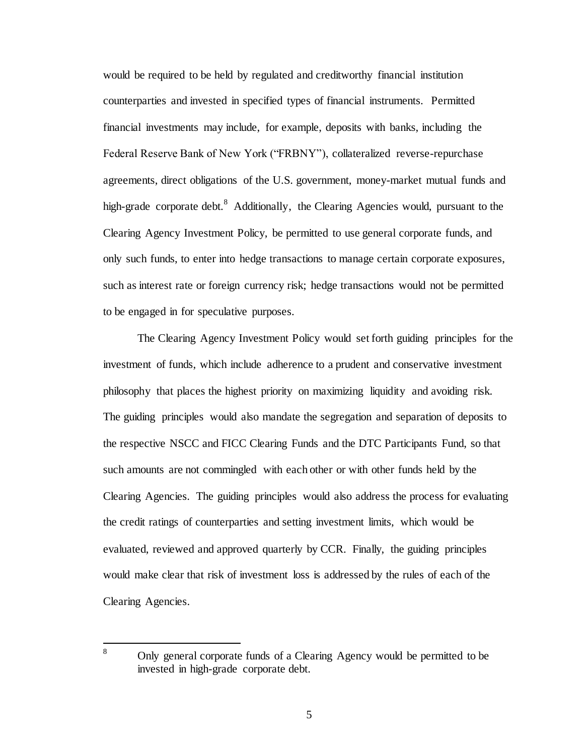would be required to be held by regulated and creditworthy financial institution counterparties and invested in specified types of financial instruments. Permitted financial investments may include, for example, deposits with banks, including the Federal Reserve Bank of New York ("FRBNY"), collateralized reverse-repurchase agreements, direct obligations of the U.S. government, money-market mutual funds and high-grade corporate debt.<sup>8</sup> Additionally, the Clearing Agencies would, pursuant to the Clearing Agency Investment Policy, be permitted to use general corporate funds, and only such funds, to enter into hedge transactions to manage certain corporate exposures, such as interest rate or foreign currency risk; hedge transactions would not be permitted to be engaged in for speculative purposes.

The Clearing Agency Investment Policy would set forth guiding principles for the investment of funds, which include adherence to a prudent and conservative investment philosophy that places the highest priority on maximizing liquidity and avoiding risk. The guiding principles would also mandate the segregation and separation of deposits to the respective NSCC and FICC Clearing Funds and the DTC Participants Fund, so that such amounts are not commingled with each other or with other funds held by the Clearing Agencies. The guiding principles would also address the process for evaluating the credit ratings of counterparties and setting investment limits, which would be evaluated, reviewed and approved quarterly by CCR. Finally, the guiding principles would make clear that risk of investment loss is addressed by the rules of each of the Clearing Agencies.

 $\bf{8}$ 

Only general corporate funds of a Clearing Agency would be permitted to be invested in high-grade corporate debt.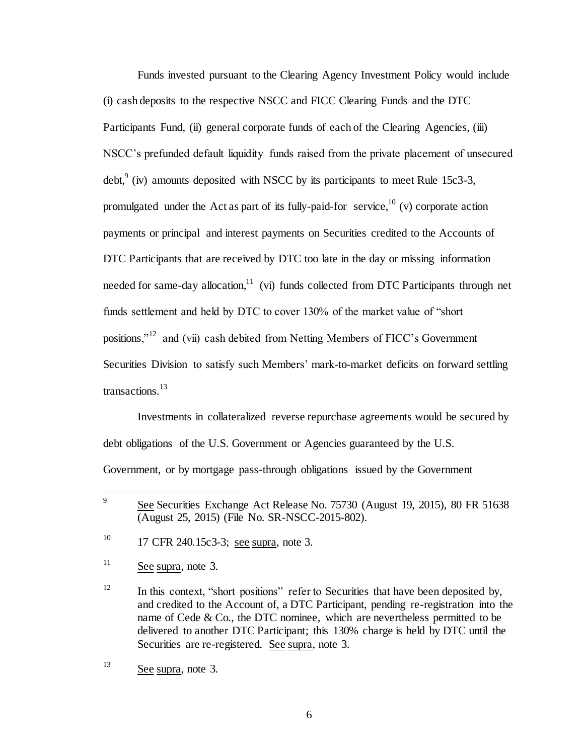Funds invested pursuant to the Clearing Agency Investment Policy would include (i) cash deposits to the respective NSCC and FICC Clearing Funds and the DTC Participants Fund, (ii) general corporate funds of each of the Clearing Agencies, (iii) NSCC's prefunded default liquidity funds raised from the private placement of unsecured debt,<sup>9</sup> (iv) amounts deposited with NSCC by its participants to meet Rule 15c3-3, promulgated under the Act as part of its fully-paid-for service,  $^{10}$  (v) corporate action payments or principal and interest payments on Securities credited to the Accounts of DTC Participants that are received by DTC too late in the day or missing information needed for same-day allocation, $\frac{11}{11}$  (vi) funds collected from DTC Participants through net funds settlement and held by DTC to cover 130% of the market value of "short positions,"<sup>12</sup> and (vii) cash debited from Netting Members of FICC's Government Securities Division to satisfy such Members' mark-to-market deficits on forward settling transactions.<sup>13</sup>

Investments in collateralized reverse repurchase agreements would be secured by debt obligations of the U.S. Government or Agencies guaranteed by the U.S. Government, or by mortgage pass-through obligations issued by the Government

<sup>&</sup>lt;sup>9</sup> See Securities Exchange Act Release No. 75730 (August 19, 2015), 80 FR 51638 (August 25, 2015) (File No. SR-NSCC-2015-802).

<sup>&</sup>lt;sup>10</sup> 17 CFR 240.15c3-3; see supra, note 3.

 $11$  See supra, note 3.

<sup>&</sup>lt;sup>12</sup> In this context, "short positions" refer to Securities that have been deposited by, and credited to the Account of, a DTC Participant, pending re-registration into the name of Cede & Co., the DTC nominee, which are nevertheless permitted to be delivered to another DTC Participant; this 130% charge is held by DTC until the Securities are re-registered. See supra, note 3.

<sup>13</sup> See supra, note 3.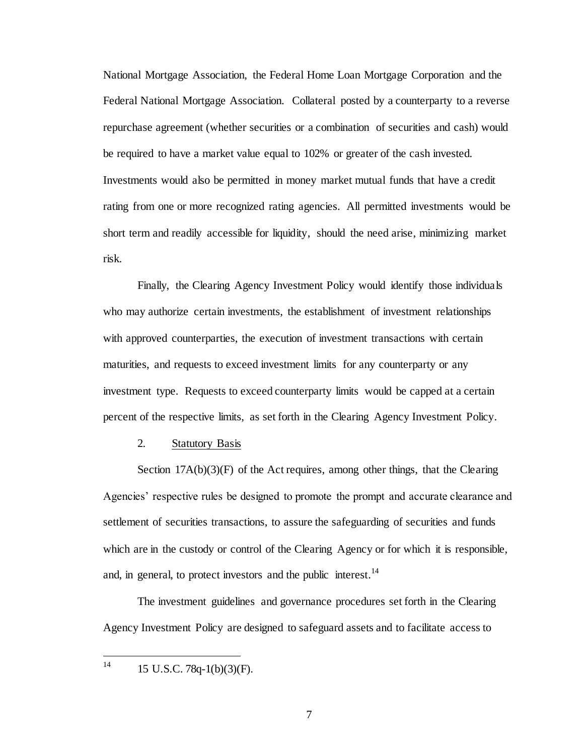National Mortgage Association, the Federal Home Loan Mortgage Corporation and the Federal National Mortgage Association. Collateral posted by a counterparty to a reverse repurchase agreement (whether securities or a combination of securities and cash) would be required to have a market value equal to 102% or greater of the cash invested. Investments would also be permitted in money market mutual funds that have a credit rating from one or more recognized rating agencies. All permitted investments would be short term and readily accessible for liquidity, should the need arise, minimizing market risk.

Finally, the Clearing Agency Investment Policy would identify those individuals who may authorize certain investments, the establishment of investment relationships with approved counterparties, the execution of investment transactions with certain maturities, and requests to exceed investment limits for any counterparty or any investment type. Requests to exceed counterparty limits would be capped at a certain percent of the respective limits, as set forth in the Clearing Agency Investment Policy.

#### 2. Statutory Basis

Section  $17A(b)(3)(F)$  of the Act requires, among other things, that the Clearing Agencies' respective rules be designed to promote the prompt and accurate clearance and settlement of securities transactions, to assure the safeguarding of securities and funds which are in the custody or control of the Clearing Agency or for which it is responsible, and, in general, to protect investors and the public interest.<sup>14</sup>

The investment guidelines and governance procedures set forth in the Clearing Agency Investment Policy are designed to safeguard assets and to facilitate access to

 $14$ 15 U.S.C. 78q-1(b)(3)(F).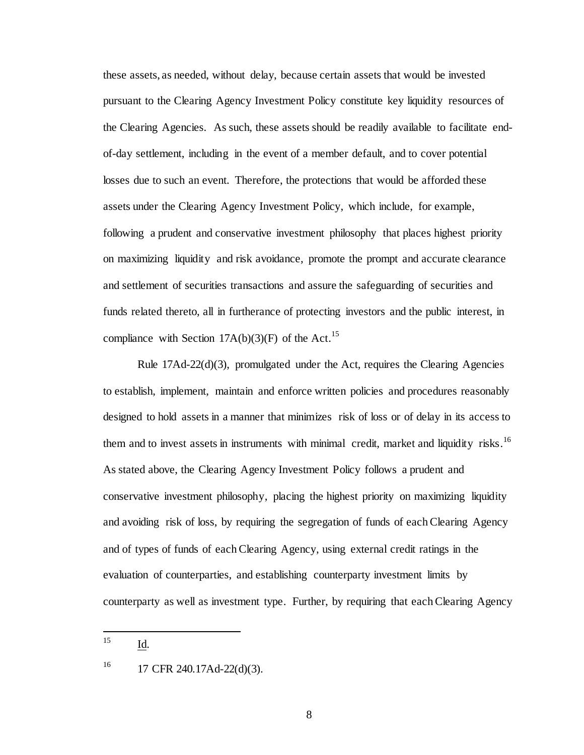these assets, as needed, without delay, because certain assets that would be invested pursuant to the Clearing Agency Investment Policy constitute key liquidity resources of the Clearing Agencies. As such, these assets should be readily available to facilitate endof-day settlement, including in the event of a member default, and to cover potential losses due to such an event. Therefore, the protections that would be afforded these assets under the Clearing Agency Investment Policy, which include, for example, following a prudent and conservative investment philosophy that places highest priority on maximizing liquidity and risk avoidance, promote the prompt and accurate clearance and settlement of securities transactions and assure the safeguarding of securities and funds related thereto, all in furtherance of protecting investors and the public interest, in compliance with Section 17A(b)(3)(F) of the Act.<sup>15</sup>

Rule  $17\text{Ad}-22\text{d}(3)$ , promulgated under the Act, requires the Clearing Agencies to establish, implement, maintain and enforce written policies and procedures reasonably designed to hold assets in a manner that minimizes risk of loss or of delay in its access to them and to invest assets in instruments with minimal credit, market and liquidity risks.<sup>16</sup> As stated above, the Clearing Agency Investment Policy follows a prudent and conservative investment philosophy, placing the highest priority on maximizing liquidity and avoiding risk of loss, by requiring the segregation of funds of each Clearing Agency and of types of funds of each Clearing Agency, using external credit ratings in the evaluation of counterparties, and establishing counterparty investment limits by counterparty as well as investment type. Further, by requiring that each Clearing Agency

#### $15<sup>15</sup>$ Id.

 $^{16}$  17 CFR 240.17Ad-22(d)(3).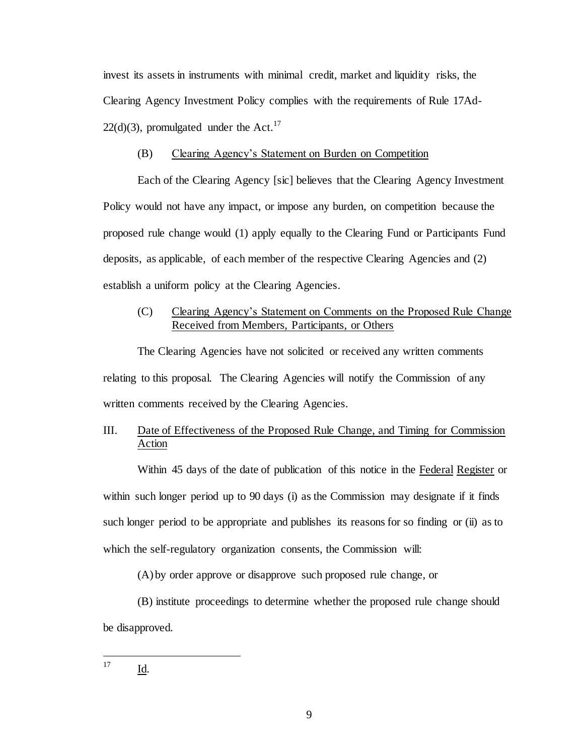invest its assets in instruments with minimal credit, market and liquidity risks, the Clearing Agency Investment Policy complies with the requirements of Rule 17Ad- $22(d)(3)$ , promulgated under the Act.<sup>17</sup>

### (B) Clearing Agency's Statement on Burden on Competition

Each of the Clearing Agency [sic] believes that the Clearing Agency Investment Policy would not have any impact, or impose any burden, on competition because the proposed rule change would (1) apply equally to the Clearing Fund or Participants Fund deposits, as applicable, of each member of the respective Clearing Agencies and (2) establish a uniform policy at the Clearing Agencies.

# (C) Clearing Agency's Statement on Comments on the Proposed Rule Change Received from Members, Participants, or Others

The Clearing Agencies have not solicited or received any written comments relating to this proposal. The Clearing Agencies will notify the Commission of any written comments received by the Clearing Agencies.

# III. Date of Effectiveness of the Proposed Rule Change, and Timing for Commission Action

Within 45 days of the date of publication of this notice in the Federal Register or within such longer period up to 90 days (i) as the Commission may designate if it finds such longer period to be appropriate and publishes its reasons for so finding or (ii) as to which the self-regulatory organization consents, the Commission will:

(A) by order approve or disapprove such proposed rule change, or

(B) institute proceedings to determine whether the proposed rule change should be disapproved.

#### 17 Id.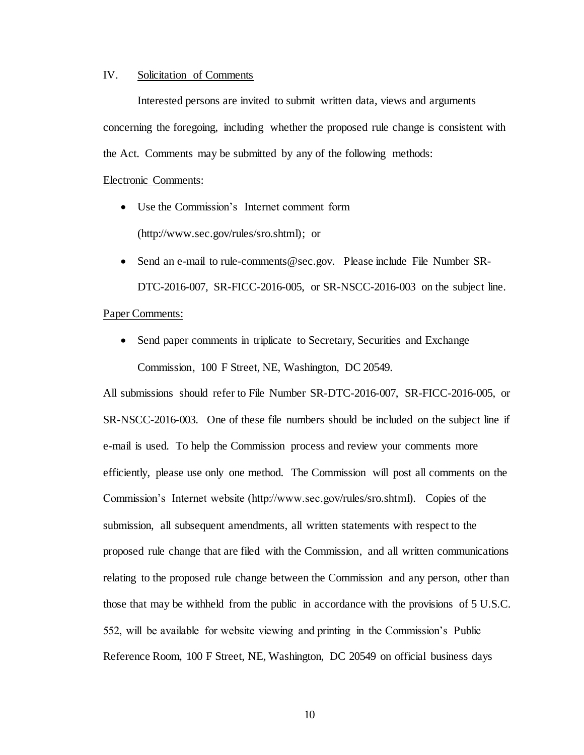### IV. Solicitation of Comments

Interested persons are invited to submit written data, views and arguments concerning the foregoing, including whether the proposed rule change is consistent with the Act. Comments may be submitted by any of the following methods:

#### Electronic Comments:

- Use the Commission's Internet comment form (http://www.sec.gov/rules/sro.shtml); or
- Send an e-mail to rule-comments@sec.gov. Please include File Number SR-DTC-2016-007, SR-FICC-2016-005, or SR-NSCC-2016-003 on the subject line.

### Paper Comments:

• Send paper comments in triplicate to Secretary, Securities and Exchange Commission, 100 F Street, NE, Washington, DC 20549.

All submissions should refer to File Number SR-DTC-2016-007, SR-FICC-2016-005, or SR-NSCC-2016-003.One of these file numbers should be included on the subject line if e-mail is used. To help the Commission process and review your comments more efficiently, please use only one method. The Commission will post all comments on the Commission's Internet website (http://www.sec.gov/rules/sro.shtml). Copies of the submission, all subsequent amendments, all written statements with respect to the proposed rule change that are filed with the Commission, and all written communications relating to the proposed rule change between the Commission and any person, other than those that may be withheld from the public in accordance with the provisions of 5 U.S.C. 552, will be available for website viewing and printing in the Commission's Public Reference Room, 100 F Street, NE, Washington, DC 20549 on official business days

10